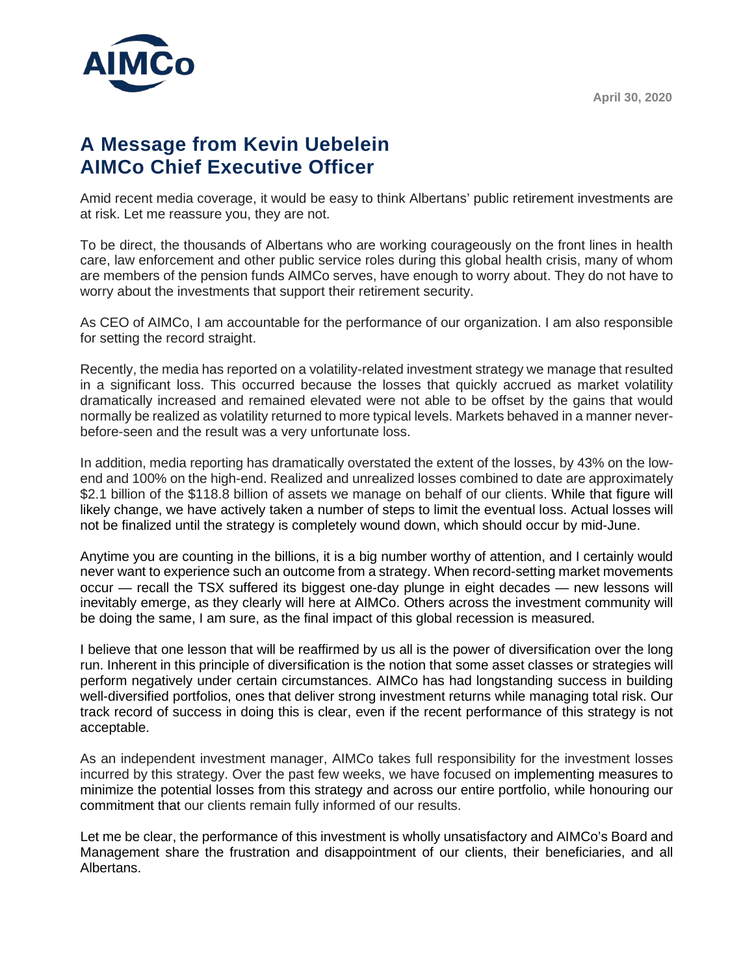

## **A Message from Kevin Uebelein AIMCo Chief Executive Officer**

Amid recent media coverage, it would be easy to think Albertans' public retirement investments are at risk. Let me reassure you, they are not.

To be direct, the thousands of Albertans who are working courageously on the front lines in health care, law enforcement and other public service roles during this global health crisis, many of whom are members of the pension funds AIMCo serves, have enough to worry about. They do not have to worry about the investments that support their retirement security.

As CEO of AIMCo, I am accountable for the performance of our organization. I am also responsible for setting the record straight.

Recently, the media has reported on a volatility-related investment strategy we manage that resulted in a significant loss. This occurred because the losses that quickly accrued as market volatility dramatically increased and remained elevated were not able to be offset by the gains that would normally be realized as volatility returned to more typical levels. Markets behaved in a manner neverbefore-seen and the result was a very unfortunate loss.

In addition, media reporting has dramatically overstated the extent of the losses, by 43% on the lowend and 100% on the high-end. Realized and unrealized losses combined to date are approximately \$2.1 billion of the \$118.8 billion of assets we manage on behalf of our clients. While that figure will likely change, we have actively taken a number of steps to limit the eventual loss. Actual losses will not be finalized until the strategy is completely wound down, which should occur by mid-June.

Anytime you are counting in the billions, it is a big number worthy of attention, and I certainly would never want to experience such an outcome from a strategy. When record-setting market movements occur — recall the TSX suffered its biggest one-day plunge in eight decades — new lessons will inevitably emerge, as they clearly will here at AIMCo. Others across the investment community will be doing the same, I am sure, as the final impact of this global recession is measured.

I believe that one lesson that will be reaffirmed by us all is the power of diversification over the long run. Inherent in this principle of diversification is the notion that some asset classes or strategies will perform negatively under certain circumstances. AIMCo has had longstanding success in building well-diversified portfolios, ones that deliver strong investment returns while managing total risk. Our track record of success in doing this is clear, even if the recent performance of this strategy is not acceptable.

As an independent investment manager, AIMCo takes full responsibility for the investment losses incurred by this strategy. Over the past few weeks, we have focused on implementing measures to minimize the potential losses from this strategy and across our entire portfolio, while honouring our commitment that our clients remain fully informed of our results.

Let me be clear, the performance of this investment is wholly unsatisfactory and AIMCo's Board and Management share the frustration and disappointment of our clients, their beneficiaries, and all Albertans.